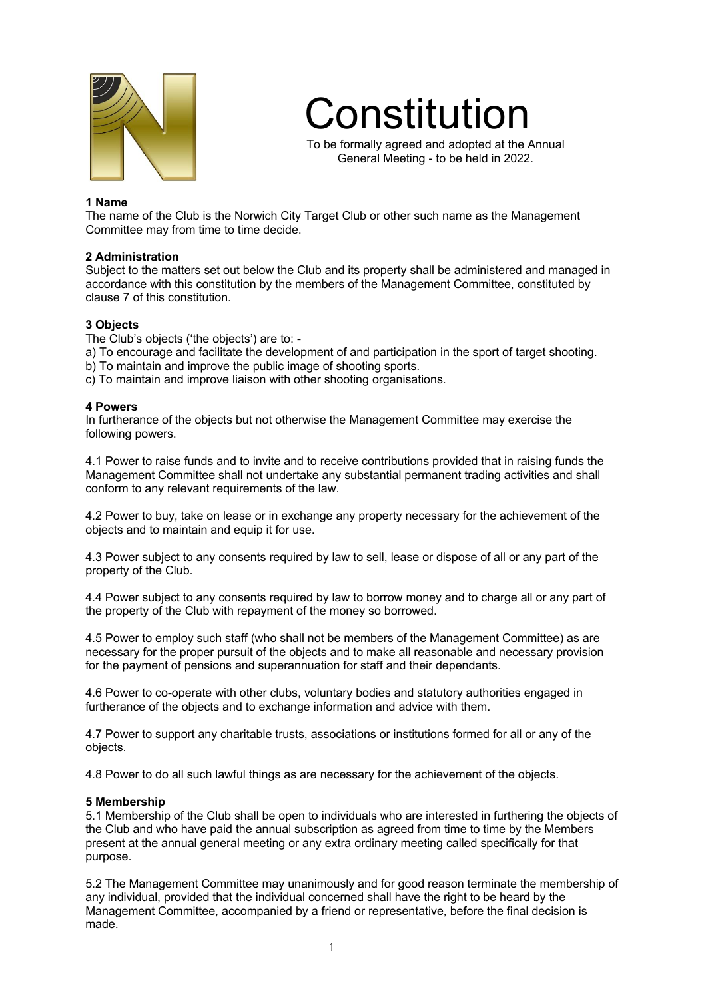

Constitution

To be formally agreed and adopted at the Annual General Meeting - to be held in 2022.

### **1 Name**

The name of the Club is the Norwich City Target Club or other such name as the Management Committee may from time to time decide.

### **2 Administration**

Subject to the matters set out below the Club and its property shall be administered and managed in accordance with this constitution by the members of the Management Committee, constituted by clause 7 of this constitution.

#### **3 Objects**

The Club's objects ('the objects') are to: -

- a) To encourage and facilitate the development of and participation in the sport of target shooting.
- b) To maintain and improve the public image of shooting sports.
- c) To maintain and improve liaison with other shooting organisations.

#### **4 Powers**

In furtherance of the objects but not otherwise the Management Committee may exercise the following powers.

4.1 Power to raise funds and to invite and to receive contributions provided that in raising funds the Management Committee shall not undertake any substantial permanent trading activities and shall conform to any relevant requirements of the law.

4.2 Power to buy, take on lease or in exchange any property necessary for the achievement of the objects and to maintain and equip it for use.

4.3 Power subject to any consents required by law to sell, lease or dispose of all or any part of the property of the Club.

4.4 Power subject to any consents required by law to borrow money and to charge all or any part of the property of the Club with repayment of the money so borrowed.

4.5 Power to employ such staff (who shall not be members of the Management Committee) as are necessary for the proper pursuit of the objects and to make all reasonable and necessary provision for the payment of pensions and superannuation for staff and their dependants.

4.6 Power to co-operate with other clubs, voluntary bodies and statutory authorities engaged in furtherance of the objects and to exchange information and advice with them.

4.7 Power to support any charitable trusts, associations or institutions formed for all or any of the objects.

4.8 Power to do all such lawful things as are necessary for the achievement of the objects.

### **5 Membership**

5.1 Membership of the Club shall be open to individuals who are interested in furthering the objects of the Club and who have paid the annual subscription as agreed from time to time by the Members present at the annual general meeting or any extra ordinary meeting called specifically for that purpose.

5.2 The Management Committee may unanimously and for good reason terminate the membership of any individual, provided that the individual concerned shall have the right to be heard by the Management Committee, accompanied by a friend or representative, before the final decision is made.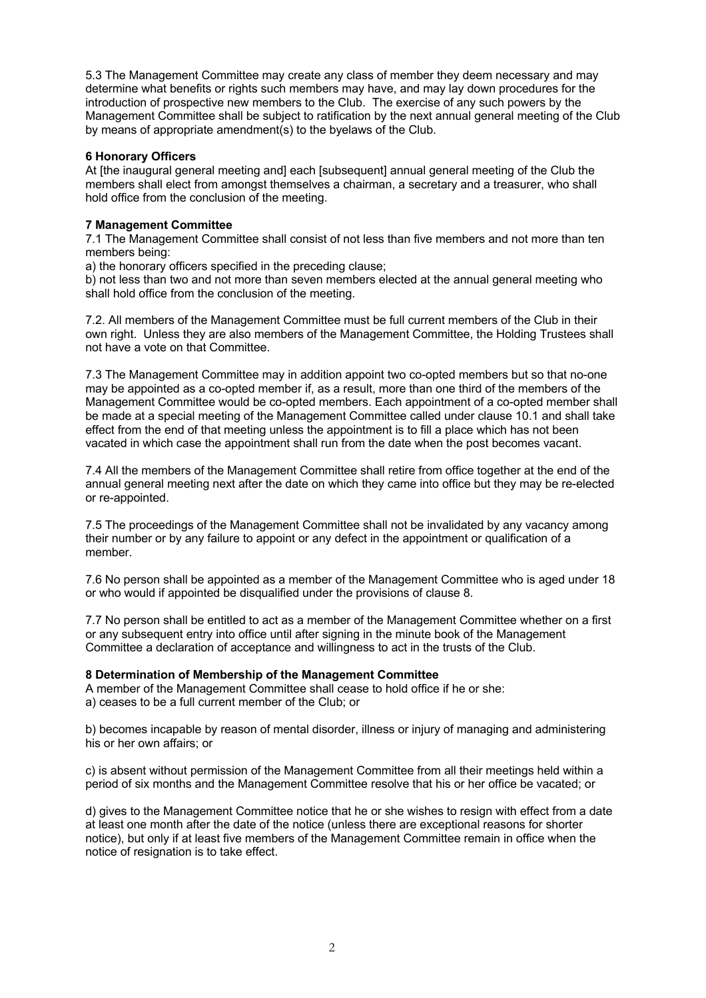5.3 The Management Committee may create any class of member they deem necessary and may determine what benefits or rights such members may have, and may lay down procedures for the introduction of prospective new members to the Club. The exercise of any such powers by the Management Committee shall be subject to ratification by the next annual general meeting of the Club by means of appropriate amendment(s) to the byelaws of the Club.

### **6 Honorary Officers**

At [the inaugural general meeting and] each [subsequent] annual general meeting of the Club the members shall elect from amongst themselves a chairman, a secretary and a treasurer, who shall hold office from the conclusion of the meeting.

## **7 Management Committee**

7.1 The Management Committee shall consist of not less than five members and not more than ten members being:

a) the honorary officers specified in the preceding clause;

b) not less than two and not more than seven members elected at the annual general meeting who shall hold office from the conclusion of the meeting.

7.2. All members of the Management Committee must be full current members of the Club in their own right. Unless they are also members of the Management Committee, the Holding Trustees shall not have a vote on that Committee.

7.3 The Management Committee may in addition appoint two co-opted members but so that no-one may be appointed as a co-opted member if, as a result, more than one third of the members of the Management Committee would be co-opted members. Each appointment of a co-opted member shall be made at a special meeting of the Management Committee called under clause 10.1 and shall take effect from the end of that meeting unless the appointment is to fill a place which has not been vacated in which case the appointment shall run from the date when the post becomes vacant.

7.4 All the members of the Management Committee shall retire from office together at the end of the annual general meeting next after the date on which they came into office but they may be re-elected or re-appointed.

7.5 The proceedings of the Management Committee shall not be invalidated by any vacancy among their number or by any failure to appoint or any defect in the appointment or qualification of a member.

7.6 No person shall be appointed as a member of the Management Committee who is aged under 18 or who would if appointed be disqualified under the provisions of clause 8.

7.7 No person shall be entitled to act as a member of the Management Committee whether on a first or any subsequent entry into office until after signing in the minute book of the Management Committee a declaration of acceptance and willingness to act in the trusts of the Club.

### **8 Determination of Membership of the Management Committee**

A member of the Management Committee shall cease to hold office if he or she: a) ceases to be a full current member of the Club; or

b) becomes incapable by reason of mental disorder, illness or injury of managing and administering his or her own affairs; or

c) is absent without permission of the Management Committee from all their meetings held within a period of six months and the Management Committee resolve that his or her office be vacated; or

d) gives to the Management Committee notice that he or she wishes to resign with effect from a date at least one month after the date of the notice (unless there are exceptional reasons for shorter notice), but only if at least five members of the Management Committee remain in office when the notice of resignation is to take effect.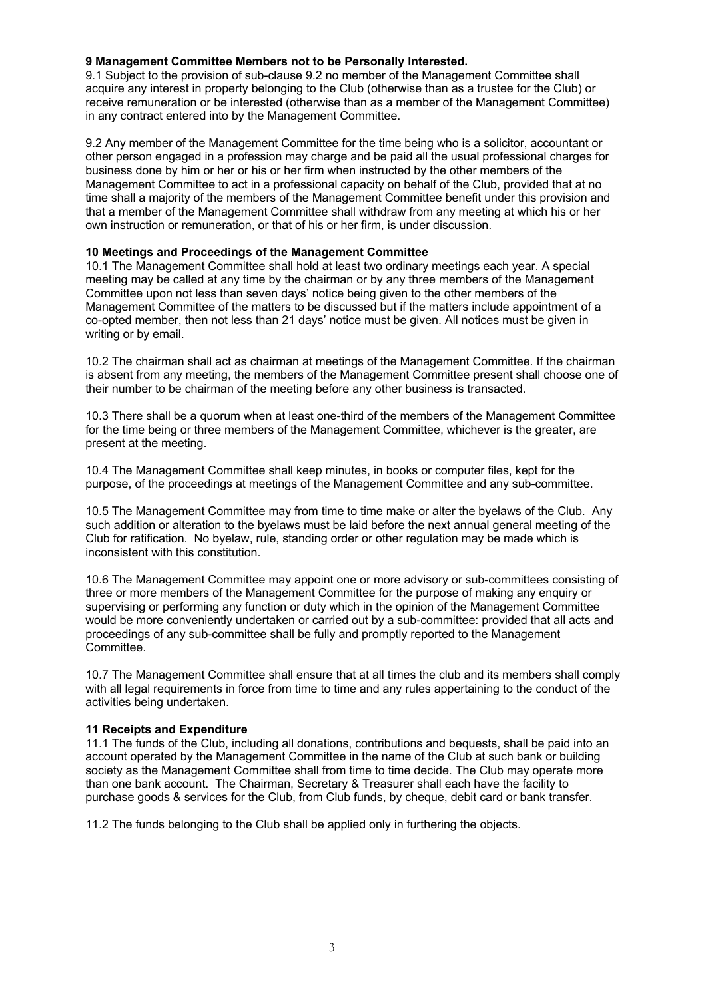### **9 Management Committee Members not to be Personally Interested.**

9.1 Subject to the provision of sub-clause 9.2 no member of the Management Committee shall acquire any interest in property belonging to the Club (otherwise than as a trustee for the Club) or receive remuneration or be interested (otherwise than as a member of the Management Committee) in any contract entered into by the Management Committee.

9.2 Any member of the Management Committee for the time being who is a solicitor, accountant or other person engaged in a profession may charge and be paid all the usual professional charges for business done by him or her or his or her firm when instructed by the other members of the Management Committee to act in a professional capacity on behalf of the Club, provided that at no time shall a majority of the members of the Management Committee benefit under this provision and that a member of the Management Committee shall withdraw from any meeting at which his or her own instruction or remuneration, or that of his or her firm, is under discussion.

### **10 Meetings and Proceedings of the Management Committee**

10.1 The Management Committee shall hold at least two ordinary meetings each year. A special meeting may be called at any time by the chairman or by any three members of the Management Committee upon not less than seven days' notice being given to the other members of the Management Committee of the matters to be discussed but if the matters include appointment of a co-opted member, then not less than 21 days' notice must be given. All notices must be given in writing or by email.

10.2 The chairman shall act as chairman at meetings of the Management Committee. If the chairman is absent from any meeting, the members of the Management Committee present shall choose one of their number to be chairman of the meeting before any other business is transacted.

10.3 There shall be a quorum when at least one-third of the members of the Management Committee for the time being or three members of the Management Committee, whichever is the greater, are present at the meeting.

10.4 The Management Committee shall keep minutes, in books or computer files, kept for the purpose, of the proceedings at meetings of the Management Committee and any sub-committee.

10.5 The Management Committee may from time to time make or alter the byelaws of the Club. Any such addition or alteration to the byelaws must be laid before the next annual general meeting of the Club for ratification. No byelaw, rule, standing order or other regulation may be made which is inconsistent with this constitution.

10.6 The Management Committee may appoint one or more advisory or sub-committees consisting of three or more members of the Management Committee for the purpose of making any enquiry or supervising or performing any function or duty which in the opinion of the Management Committee would be more conveniently undertaken or carried out by a sub-committee: provided that all acts and proceedings of any sub-committee shall be fully and promptly reported to the Management Committee.

10.7 The Management Committee shall ensure that at all times the club and its members shall comply with all legal requirements in force from time to time and any rules appertaining to the conduct of the activities being undertaken.

### **11 Receipts and Expenditure**

11.1 The funds of the Club, including all donations, contributions and bequests, shall be paid into an account operated by the Management Committee in the name of the Club at such bank or building society as the Management Committee shall from time to time decide. The Club may operate more than one bank account. The Chairman, Secretary & Treasurer shall each have the facility to purchase goods & services for the Club, from Club funds, by cheque, debit card or bank transfer.

11.2 The funds belonging to the Club shall be applied only in furthering the objects.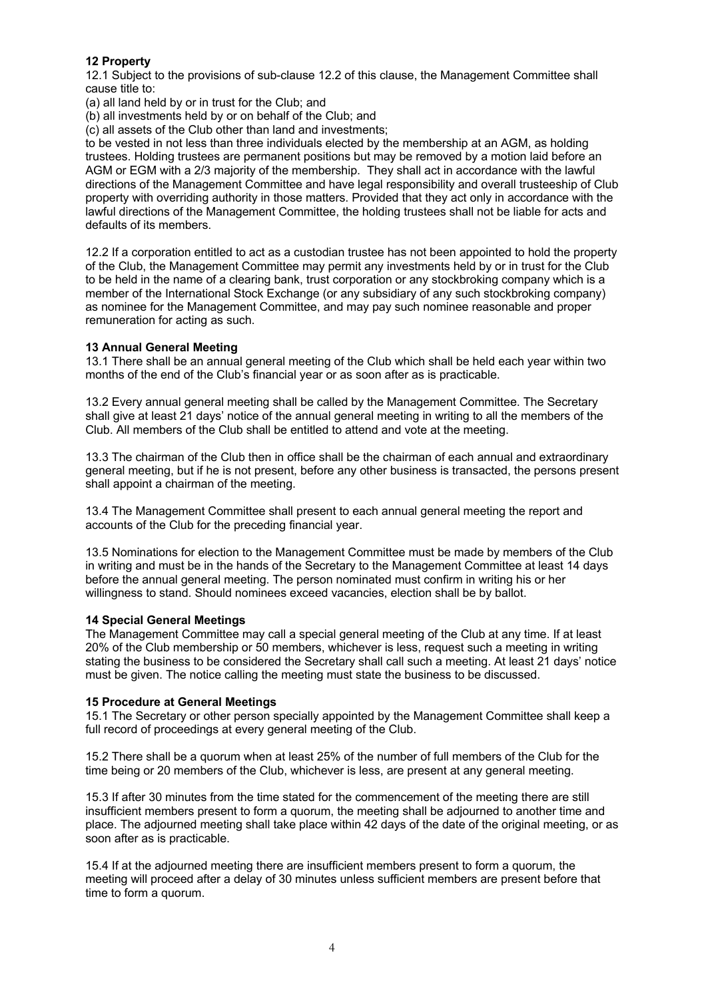# **12 Property**

12.1 Subject to the provisions of sub-clause 12.2 of this clause, the Management Committee shall cause title to:

(a) all land held by or in trust for the Club; and

(b) all investments held by or on behalf of the Club; and

(c) all assets of the Club other than land and investments;

to be vested in not less than three individuals elected by the membership at an AGM, as holding trustees. Holding trustees are permanent positions but may be removed by a motion laid before an AGM or EGM with a 2/3 majority of the membership. They shall act in accordance with the lawful directions of the Management Committee and have legal responsibility and overall trusteeship of Club property with overriding authority in those matters. Provided that they act only in accordance with the lawful directions of the Management Committee, the holding trustees shall not be liable for acts and defaults of its members.

12.2 If a corporation entitled to act as a custodian trustee has not been appointed to hold the property of the Club, the Management Committee may permit any investments held by or in trust for the Club to be held in the name of a clearing bank, trust corporation or any stockbroking company which is a member of the International Stock Exchange (or any subsidiary of any such stockbroking company) as nominee for the Management Committee, and may pay such nominee reasonable and proper remuneration for acting as such.

### **13 Annual General Meeting**

13.1 There shall be an annual general meeting of the Club which shall be held each year within two months of the end of the Club's financial year or as soon after as is practicable.

13.2 Every annual general meeting shall be called by the Management Committee. The Secretary shall give at least 21 days' notice of the annual general meeting in writing to all the members of the Club. All members of the Club shall be entitled to attend and vote at the meeting.

13.3 The chairman of the Club then in office shall be the chairman of each annual and extraordinary general meeting, but if he is not present, before any other business is transacted, the persons present shall appoint a chairman of the meeting.

13.4 The Management Committee shall present to each annual general meeting the report and accounts of the Club for the preceding financial year.

13.5 Nominations for election to the Management Committee must be made by members of the Club in writing and must be in the hands of the Secretary to the Management Committee at least 14 days before the annual general meeting. The person nominated must confirm in writing his or her willingness to stand. Should nominees exceed vacancies, election shall be by ballot.

### **14 Special General Meetings**

The Management Committee may call a special general meeting of the Club at any time. If at least 20% of the Club membership or 50 members, whichever is less, request such a meeting in writing stating the business to be considered the Secretary shall call such a meeting. At least 21 days' notice must be given. The notice calling the meeting must state the business to be discussed.

### **15 Procedure at General Meetings**

15.1 The Secretary or other person specially appointed by the Management Committee shall keep a full record of proceedings at every general meeting of the Club.

15.2 There shall be a quorum when at least 25% of the number of full members of the Club for the time being or 20 members of the Club, whichever is less, are present at any general meeting.

15.3 If after 30 minutes from the time stated for the commencement of the meeting there are still insufficient members present to form a quorum, the meeting shall be adjourned to another time and place. The adjourned meeting shall take place within 42 days of the date of the original meeting, or as soon after as is practicable.

15.4 If at the adjourned meeting there are insufficient members present to form a quorum, the meeting will proceed after a delay of 30 minutes unless sufficient members are present before that time to form a quorum.